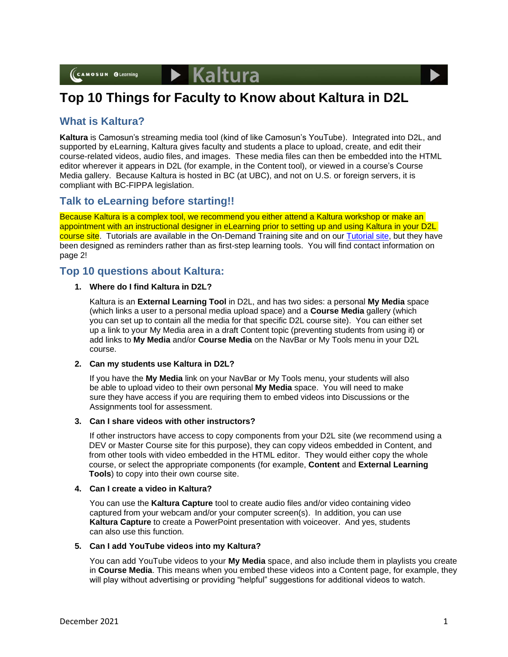

# **What is Kaltura?**

**Kaltura** is Camosun's streaming media tool (kind of like Camosun's YouTube). Integrated into D2L, and supported by eLearning, Kaltura gives faculty and students a place to upload, create, and edit their course-related videos, audio files, and images. These media files can then be embedded into the HTML editor wherever it appears in D2L (for example, in the Content tool), or viewed in a course's Course Media gallery. Because Kaltura is hosted in BC (at UBC), and not on U.S. or foreign servers, it is compliant with BC-FIPPA legislation.

# **Talk to eLearning before starting!!**

Because Kaltura is a complex tool, we recommend you either attend a Kaltura workshop or make an appointment with an instructional designer in eLearning prior to setting up and using Kaltura in your D2L course site. Tutorials are available in the On-Demand Training site and on ou[r Tutorial site,](https://elearningtutorialscamosun.opened.ca/kaltura-tutorials/kaltura-for-students/) but they have been designed as reminders rather than as first-step learning tools. You will find contact information on page 2!

# **Top 10 questions about Kaltura:**

## **1. Where do I find Kaltura in D2L?**

Kaltura is an **External Learning Tool** in D2L, and has two sides: a personal **My Media** space (which links a user to a personal media upload space) and a **Course Media** gallery (which you can set up to contain all the media for that specific D2L course site). You can either set up a link to your My Media area in a draft Content topic (preventing students from using it) or add links to **My Media** and/or **Course Media** on the NavBar or My Tools menu in your D2L course.

#### **2. Can my students use Kaltura in D2L?**

If you have the **My Media** link on your NavBar or My Tools menu, your students will also be able to upload video to their own personal **My Media** space. You will need to make sure they have access if you are requiring them to embed videos into Discussions or the Assignments tool for assessment.

#### **3. Can I share videos with other instructors?**

If other instructors have access to copy components from your D2L site (we recommend using a DEV or Master Course site for this purpose), they can copy videos embedded in Content, and from other tools with video embedded in the HTML editor. They would either copy the whole course, or select the appropriate components (for example, **Content** and **External Learning Tools**) to copy into their own course site.

#### **4. Can I create a video in Kaltura?**

You can use the **Kaltura Capture** tool to create audio files and/or video containing video captured from your webcam and/or your computer screen(s). In addition, you can use **Kaltura Capture** to create a PowerPoint presentation with voiceover. And yes, students can also use this function.

#### **5. Can I add YouTube videos into my Kaltura?**

You can add YouTube videos to your **My Media** space, and also include them in playlists you create in **Course Media**. This means when you embed these videos into a Content page, for example, they will play without advertising or providing "helpful" suggestions for additional videos to watch.